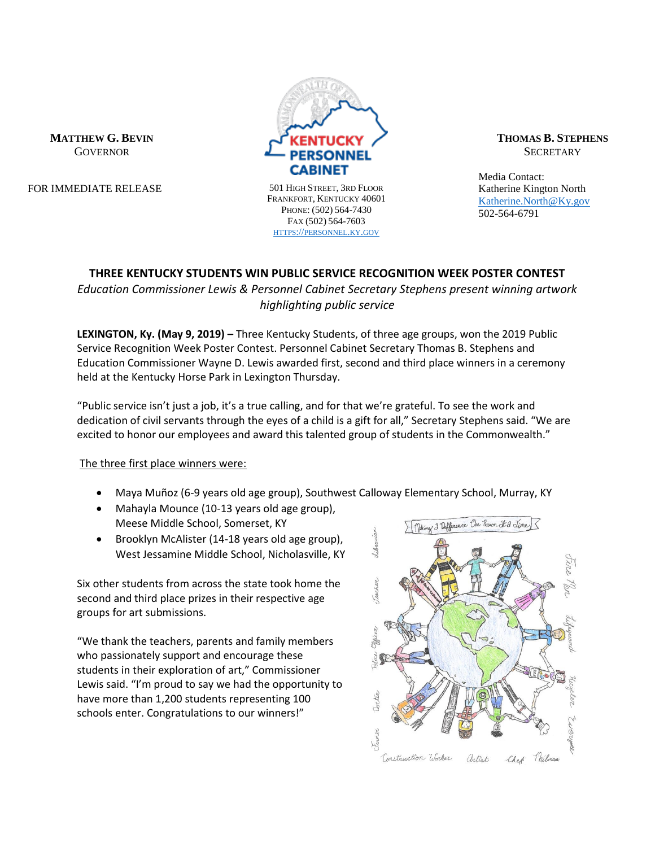

FOR IMMEDIATE RELEASE 501 HIGH STREET, 3RD FLOOR

FRANKFORT, KENTUCKY 40601 PHONE: (502) 564-7430 FAX (502) 564-7603 HTTPS://[PERSONNEL](https://personnel.ky.gov/).KY.GOV

**ABINET** 

**THOMAS B. STEPHENS SECRETARY** 

Media Contact: Katherine Kington North [Katherine.North@Ky.gov](mailto:Katherine.North@Ky.gov) 502-564-6791

# **THREE KENTUCKY STUDENTS WIN PUBLIC SERVICE RECOGNITION WEEK POSTER CONTEST**

*Education Commissioner Lewis & Personnel Cabinet Secretary Stephens present winning artwork highlighting public service*

**LEXINGTON, Ky. (May 9, 2019) –** Three Kentucky Students, of three age groups, won the 2019 Public Service Recognition Week Poster Contest. Personnel Cabinet Secretary Thomas B. Stephens and Education Commissioner Wayne D. Lewis awarded first, second and third place winners in a ceremony held at the Kentucky Horse Park in Lexington Thursday.

"Public service isn't just a job, it's a true calling, and for that we're grateful. To see the work and dedication of civil servants through the eyes of a child is a gift for all," Secretary Stephens said. "We are excited to honor our employees and award this talented group of students in the Commonwealth."

The three first place winners were:

- Maya Muñoz (6-9 years old age group), Southwest Calloway Elementary School, Murray, KY
- Mahayla Mounce (10-13 years old age group), Meese Middle School, Somerset, KY
- Brooklyn McAlister (14-18 years old age group), West Jessamine Middle School, Nicholasville, KY

Six other students from across the state took home the second and third place prizes in their respective age groups for art submissions.

"We thank the teachers, parents and family members who passionately support and encourage these students in their exploration of art," Commissioner Lewis said. "I'm proud to say we had the opportunity to have more than 1,200 students representing 100 schools enter. Congratulations to our winners!"